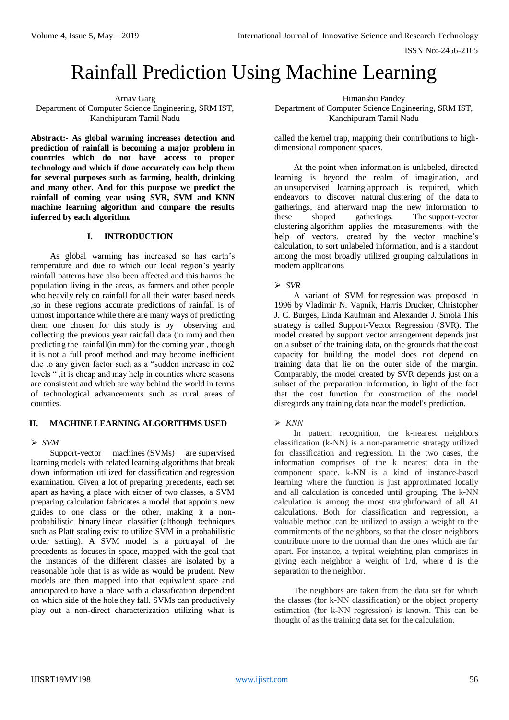ISSN No:-2456-2165

# Rainfall Prediction Using Machine Learning

## Arnav Garg Department of Computer Science Engineering, SRM IST, Kanchipuram Tamil Nadu

**Abstract:- As global warming increases detection and prediction of rainfall is becoming a major problem in countries which do not have access to proper technology and which if done accurately can help them for several purposes such as farming, health, drinking and many other. And for this purpose we predict the rainfall of coming year using SVR, SVM and KNN machine learning algorithm and compare the results inferred by each algorithm.**

# **I. INTRODUCTION**

As global warming has increased so has earth's temperature and due to which our local region's yearly rainfall patterns have also been affected and this harms the population living in the areas, as farmers and other people who heavily rely on rainfall for all their water based needs ,so in these regions accurate predictions of rainfall is of utmost importance while there are many ways of predicting them one chosen for this study is by observing and collecting the previous year rainfall data (in mm) and then predicting the rainfall(in mm) for the coming year , though it is not a full proof method and may become inefficient due to any given factor such as a "sudden increase in co2 levels " ,it is cheap and may help in counties where seasons are consistent and which are way behind the world in terms of technological advancements such as rural areas of counties.

# **II. MACHINE LEARNING ALGORITHMS USED**

# *SVM*

Support-vector machines (SVMs) are supervised learning models with related learning algorithms that break down information utilized for classification and regression examination. Given a lot of preparing precedents, each set apart as having a place with either of two classes, a SVM preparing calculation fabricates a model that appoints new guides to one class or the other, making it a nonprobabilistic binary linear classifier (although techniques such as Platt scaling exist to utilize SVM in a probabilistic order setting). A SVM model is a portrayal of the precedents as focuses in space, mapped with the goal that the instances of the different classes are isolated by a reasonable hole that is as wide as would be prudent. New models are then mapped into that equivalent space and anticipated to have a place with a classification dependent on which side of the hole they fall. SVMs can productively play out a non-direct characterization utilizing what is

Himanshu Pandey

Department of Computer Science Engineering, SRM IST, Kanchipuram Tamil Nadu

called the kernel trap, mapping their contributions to highdimensional component spaces.

At the point when information is unlabeled, directed learning is beyond the realm of imagination, and an unsupervised learning approach is required, which endeavors to discover natural clustering of the data to gatherings, and afterward map the new information to these shaped gatherings. The support-vector clustering algorithm applies the measurements with the help of vectors, created by the vector machine's calculation, to sort unlabeled information, and is a standout among the most broadly utilized grouping calculations in modern applications

# *SVR*

A variant of SVM for regression was proposed in 1996 by Vladimir N. Vapnik, Harris Drucker, Christopher J. C. Burges, Linda Kaufman and Alexander J. Smola.This strategy is called Support-Vector Regression (SVR). The model created by support vector arrangement depends just on a subset of the training data, on the grounds that the cost capacity for building the model does not depend on training data that lie on the outer side of the margin. Comparably, the model created by SVR depends just on a subset of the preparation information, in light of the fact that the cost function for construction of the model disregards any training data near the model's prediction.

# *KNN*

In pattern recognition, the k-nearest neighbors classification (k-NN) is a non-parametric strategy utilized for classification and regression. In the two cases, the information comprises of the k nearest data in the component space. k-NN is a kind of instance-based learning where the function is just approximated locally and all calculation is conceded until grouping. The k-NN calculation is among the most straightforward of all AI calculations. Both for classification and regression, a valuable method can be utilized to assign a weight to the commitments of the neighbors, so that the closer neighbors contribute more to the normal than the ones which are far apart. For instance, a typical weighting plan comprises in giving each neighbor a weight of 1/d, where d is the separation to the neighbor.

The neighbors are taken from the data set for which the classes (for k-NN classification) or the object property estimation (for k-NN regression) is known. This can be thought of as the training data set for the calculation.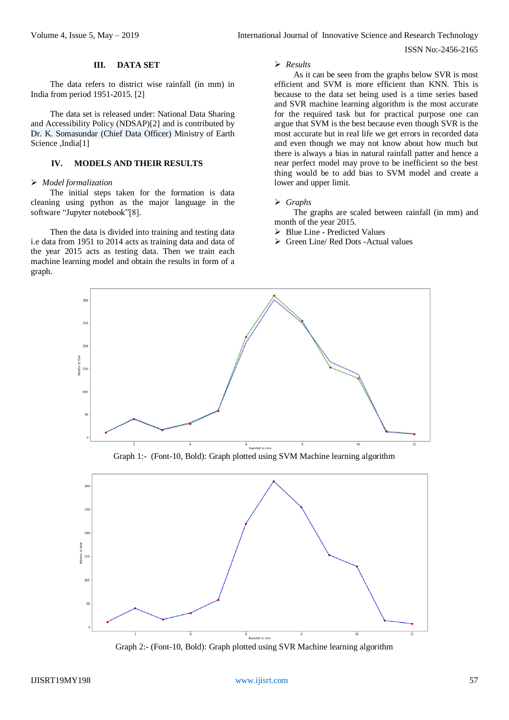ISSN No:-2456-2165

### **III. DATA SET**

The data refers to district wise rainfall (in mm) in India from period 1951-2015. [2]

The data set is released under: National Data Sharing and Accessibility Policy (NDSAP)[2] and is contributed by Dr. K. Somasundar (Chief Data Officer) Ministry of Earth Science ,India[1]

## **IV. MODELS AND THEIR RESULTS**

# *Model formalization*

The initial steps taken for the formation is data cleaning using python as the major language in the software "Jupyter notebook"[8].

Then the data is divided into training and testing data i.e data from 1951 to 2014 acts as training data and data of the year 2015 acts as testing data. Then we train each machine learning model and obtain the results in form of a graph.

#### *Results*

As it can be seen from the graphs below SVR is most efficient and SVM is more efficient than KNN. This is because to the data set being used is a time series based and SVR machine learning algorithm is the most accurate for the required task but for practical purpose one can argue that SVM is the best because even though SVR is the most accurate but in real life we get errors in recorded data and even though we may not know about how much but there is always a bias in natural rainfall patter and hence a near perfect model may prove to be inefficient so the best thing would be to add bias to SVM model and create a lower and upper limit.

## *Graphs*

The graphs are scaled between rainfall (in mm) and month of the year 2015.

- > Blue Line Predicted Values
- Green Line/ Red Dots -Actual values



Graph 1:- (Font-10, Bold): Graph plotted using SVM Machine learning algorithm